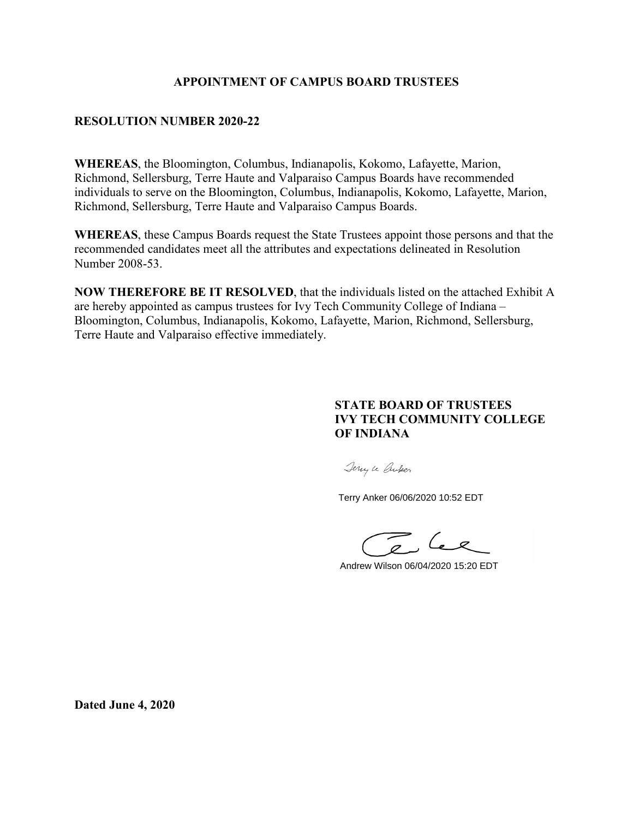#### **APPOINTMENT OF CAMPUS BOARD TRUSTEES**

#### **RESOLUTION NUMBER 2020-22**

**WHEREAS**, the Bloomington, Columbus, Indianapolis, Kokomo, Lafayette, Marion, Richmond, Sellersburg, Terre Haute and Valparaiso Campus Boards have recommended individuals to serve on the Bloomington, Columbus, Indianapolis, Kokomo, Lafayette, Marion, Richmond, Sellersburg, Terre Haute and Valparaiso Campus Boards.

**WHEREAS**, these Campus Boards request the State Trustees appoint those persons and that the recommended candidates meet all the attributes and expectations delineated in Resolution Number 2008-53.

**NOW THEREFORE BE IT RESOLVED**, that the individuals listed on the attached Exhibit A are hereby appointed as campus trustees for Ivy Tech Community College of Indiana – Bloomington, Columbus, Indianapolis, Kokomo, Lafayette, Marion, Richmond, Sellersburg, Terre Haute and Valparaiso effective immediately.

#### **STATE BOARD OF TRUSTEES IVY TECH COMMUNITY COLLEGE OF INDIANA**

Jerry Le Cruber

Terry Anker 06/06/2020 10:52 EDT

 $\mathcal{L}_{\mathscr{L}}$ 

Andrew Wilson 06/04/2020 15:20 EDT

**Dated June 4, 2020**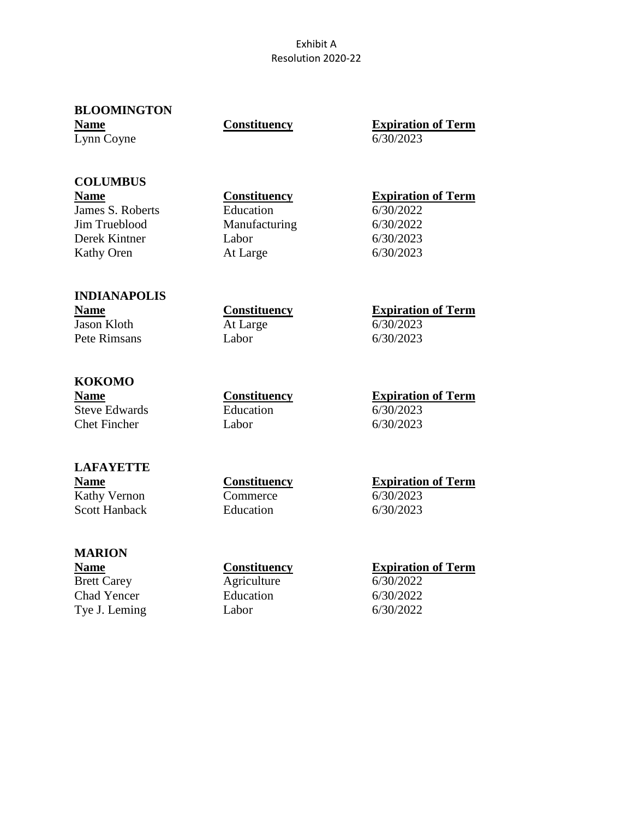#### Exhibit A Resolution 2020-22

| <b>BLOOMINGTON</b> |              |                   |
|--------------------|--------------|-------------------|
| <b>Name</b>        | Constituency | <b>Expiration</b> |
| Lynn Coyne         |              | 6/30/2023         |

| <b>Constituency</b> |
|---------------------|
|                     |

**Expiration of Term** 

## **COLUMBUS**

James S. Roberts Education 6/30/2022 Jim Trueblood Manufacturing 6/30/2022 Derek Kintner Labor 6/30/2023 Kathy Oren At Large 6/30/2023

### **Name Constituency Expiration of Term**

#### **INDIANAPOLIS** Jason Kloth At Large 6/30/2023 Pete Rimsans Labor 6/30/2023

### **KOKOMO**

Steve Edwards Education 6/30/2023 Chet Fincher Labor 6/30/2023

## **Name**<br> **Constituency**<br> **At Large 6/30/2023**<br> **Constituency**<br> **Constituency**<br> **Constituency**<br> **Constituency**

**Name Constituency Expiration of Term**

### **LAFAYETTE**

Kathy Vernon Commerce 6/30/2023 Scott Hanback Education 6/30/2023

# **Name**<br> **Kathy Vernon**<br> **Commerce**<br> **Commerce**<br> **Commerce**<br> **Commerce**<br> **Commerce**<br> **Commerce**

#### **MARION**

Brett Carey Agriculture 6/30/2022 Chad Yencer Education 6/30/2022 Tye J. Leming Labor 6/30/2022

#### **Name Constituency Expiration of Term**